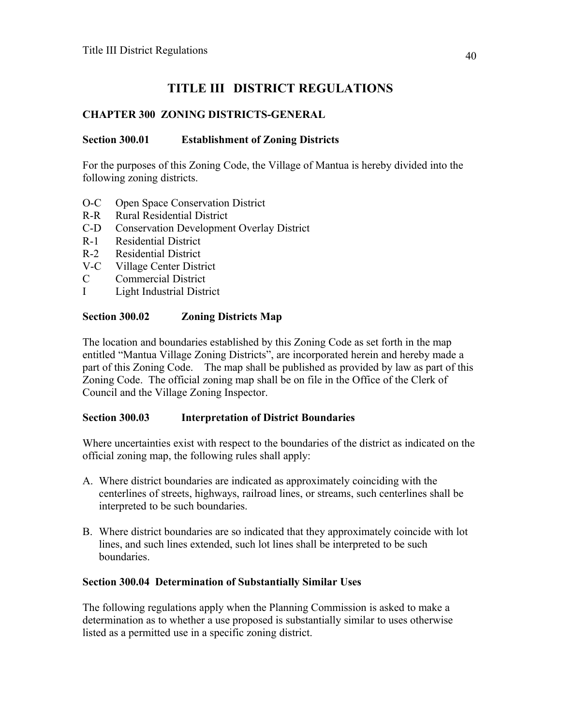# **TITLE III DISTRICT REGULATIONS**

## **CHAPTER 300 ZONING DISTRICTS-GENERAL**

## **Section 300.01 Establishment of Zoning Districts**

For the purposes of this Zoning Code, the Village of Mantua is hereby divided into the following zoning districts.

- O-C Open Space Conservation District
- R-R Rural Residential District
- C-D Conservation Development Overlay District
- R-1 Residential District
- R-2 Residential District
- V-C Village Center District
- C Commercial District
- I Light Industrial District

## **Section 300.02 Zoning Districts Map**

The location and boundaries established by this Zoning Code as set forth in the map entitled "Mantua Village Zoning Districts", are incorporated herein and hereby made a part of this Zoning Code. The map shall be published as provided by law as part of this Zoning Code. The official zoning map shall be on file in the Office of the Clerk of Council and the Village Zoning Inspector.

### **Section 300.03 Interpretation of District Boundaries**

Where uncertainties exist with respect to the boundaries of the district as indicated on the official zoning map, the following rules shall apply:

- A. Where district boundaries are indicated as approximately coinciding with the centerlines of streets, highways, railroad lines, or streams, such centerlines shall be interpreted to be such boundaries.
- B. Where district boundaries are so indicated that they approximately coincide with lot lines, and such lines extended, such lot lines shall be interpreted to be such boundaries.

### **Section 300.04 Determination of Substantially Similar Uses**

The following regulations apply when the Planning Commission is asked to make a determination as to whether a use proposed is substantially similar to uses otherwise listed as a permitted use in a specific zoning district.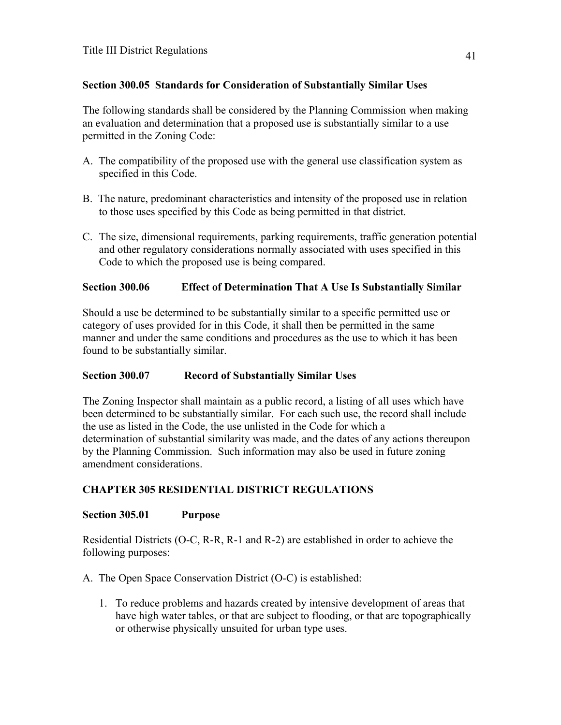## **Section 300.05 Standards for Consideration of Substantially Similar Uses**

The following standards shall be considered by the Planning Commission when making an evaluation and determination that a proposed use is substantially similar to a use permitted in the Zoning Code:

- A. The compatibility of the proposed use with the general use classification system as specified in this Code.
- B. The nature, predominant characteristics and intensity of the proposed use in relation to those uses specified by this Code as being permitted in that district.
- C. The size, dimensional requirements, parking requirements, traffic generation potential and other regulatory considerations normally associated with uses specified in this Code to which the proposed use is being compared.

## **Section 300.06 Effect of Determination That A Use Is Substantially Similar**

Should a use be determined to be substantially similar to a specific permitted use or category of uses provided for in this Code, it shall then be permitted in the same manner and under the same conditions and procedures as the use to which it has been found to be substantially similar.

### **Section 300.07 Record of Substantially Similar Uses**

The Zoning Inspector shall maintain as a public record, a listing of all uses which have been determined to be substantially similar. For each such use, the record shall include the use as listed in the Code, the use unlisted in the Code for which a determination of substantial similarity was made, and the dates of any actions thereupon by the Planning Commission. Such information may also be used in future zoning amendment considerations.

### **CHAPTER 305 RESIDENTIAL DISTRICT REGULATIONS**

### **Section 305.01 Purpose**

Residential Districts (O-C, R-R, R-1 and R-2) are established in order to achieve the following purposes:

A. The Open Space Conservation District (O-C) is established:

1. To reduce problems and hazards created by intensive development of areas that have high water tables, or that are subject to flooding, or that are topographically or otherwise physically unsuited for urban type uses.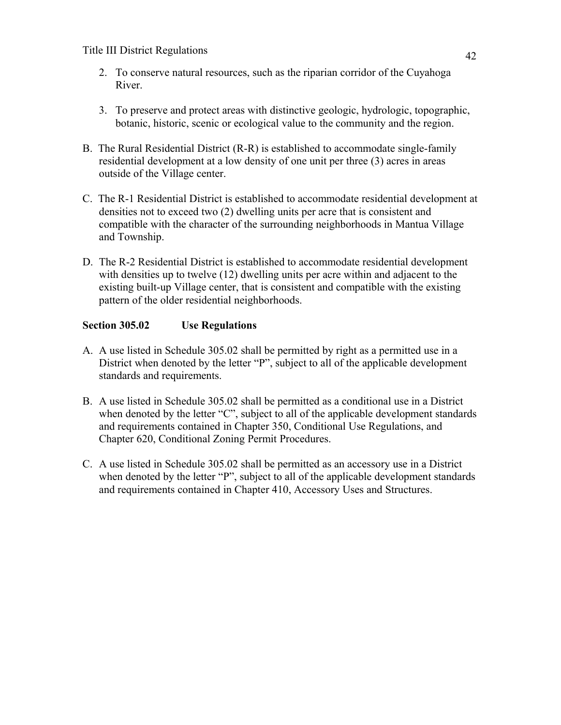- 2. To conserve natural resources, such as the riparian corridor of the Cuyahoga River.
- 3. To preserve and protect areas with distinctive geologic, hydrologic, topographic, botanic, historic, scenic or ecological value to the community and the region.
- B. The Rural Residential District (R-R) is established to accommodate single-family residential development at a low density of one unit per three (3) acres in areas outside of the Village center.
- C. The R-1 Residential District is established to accommodate residential development at densities not to exceed two (2) dwelling units per acre that is consistent and compatible with the character of the surrounding neighborhoods in Mantua Village and Township.
- D. The R-2 Residential District is established to accommodate residential development with densities up to twelve (12) dwelling units per acre within and adjacent to the existing built-up Village center, that is consistent and compatible with the existing pattern of the older residential neighborhoods.

## **Section 305.02 Use Regulations**

- A. A use listed in Schedule 305.02 shall be permitted by right as a permitted use in a District when denoted by the letter "P", subject to all of the applicable development standards and requirements.
- B. A use listed in Schedule 305.02 shall be permitted as a conditional use in a District when denoted by the letter "C", subject to all of the applicable development standards and requirements contained in Chapter 350, Conditional Use Regulations, and Chapter 620, Conditional Zoning Permit Procedures.
- C. A use listed in Schedule 305.02 shall be permitted as an accessory use in a District when denoted by the letter "P", subject to all of the applicable development standards and requirements contained in Chapter 410, Accessory Uses and Structures.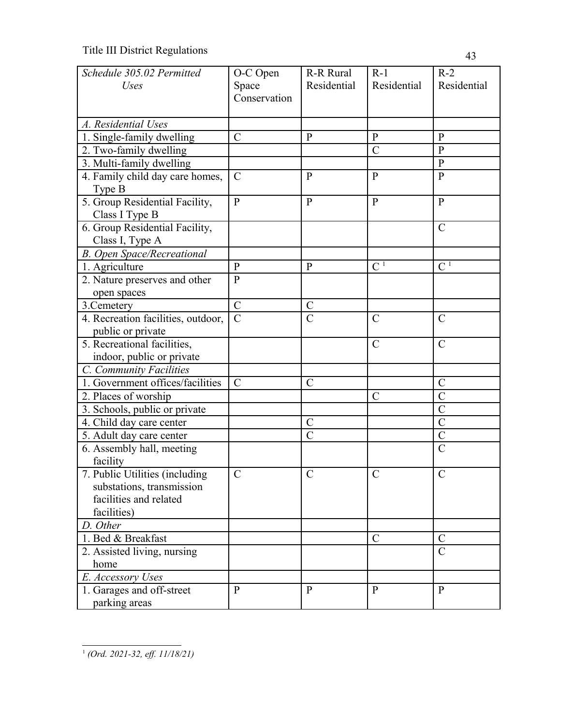| Schedule 305.02 Permitted          | O-C Open       | R-R Rural      | $R-1$          | $R-2$                   |
|------------------------------------|----------------|----------------|----------------|-------------------------|
| <b>Uses</b>                        | Space          | Residential    | Residential    | Residential             |
|                                    | Conservation   |                |                |                         |
|                                    |                |                |                |                         |
| A. Residential Uses                |                |                |                |                         |
| 1. Single-family dwelling          | $\mathcal{C}$  | $\mathbf{P}$   | $\mathbf{P}$   | $\mathbf{P}$            |
| 2. Two-family dwelling             |                |                | $\mathcal{C}$  | $\mathbf{P}$            |
| 3. Multi-family dwelling           |                |                |                | $\mathbf{P}$            |
| 4. Family child day care homes,    | $\mathcal{C}$  | $\mathbf{P}$   | P              | $\mathbf{P}$            |
| Type B                             |                |                |                |                         |
| 5. Group Residential Facility,     | $\mathbf{P}$   | $\mathbf{P}$   | $\mathbf{P}$   | $\mathbf{P}$            |
| Class I Type B                     |                |                |                |                         |
| 6. Group Residential Facility,     |                |                |                | $\mathcal{C}$           |
| Class I, Type A                    |                |                |                |                         |
| <b>B.</b> Open Space/Recreational  |                |                |                |                         |
| 1. Agriculture                     | $\mathbf{P}$   | $\mathbf{P}$   | C <sup>1</sup> | C <sup>1</sup>          |
| 2. Nature preserves and other      | $\mathbf{P}$   |                |                |                         |
| open spaces                        |                |                |                |                         |
| 3. Cemetery                        | $\overline{C}$ | $\overline{C}$ |                |                         |
| 4. Recreation facilities, outdoor, | $\overline{C}$ | $\overline{C}$ | $\mathcal{C}$  | $\overline{C}$          |
| public or private                  |                |                |                |                         |
| 5. Recreational facilities,        |                |                | $\mathcal{C}$  | $\mathcal{C}$           |
| indoor, public or private          |                |                |                |                         |
| C. Community Facilities            |                |                |                |                         |
| 1. Government offices/facilities   | $\mathcal{C}$  | $\mathcal{C}$  |                | $\mathcal{C}$           |
| 2. Places of worship               |                |                | $\mathcal{C}$  | $\overline{C}$          |
| 3. Schools, public or private      |                |                |                | $\overline{C}$          |
| 4. Child day care center           |                | $\mathcal{C}$  |                | $\overline{C}$          |
| 5. Adult day care center           |                | $\mathcal{C}$  |                | $\mathcal{C}$           |
| 6. Assembly hall, meeting          |                |                |                | $\overline{C}$          |
| facility                           |                |                |                |                         |
| 7. Public Utilities (including     | $\mathcal{C}$  | $\mathcal{C}$  | $\mathcal{C}$  | $\mathcal{C}$           |
| substations, transmission          |                |                |                |                         |
| facilities and related             |                |                |                |                         |
| facilities)                        |                |                |                |                         |
| D. Other                           |                |                |                |                         |
| 1. Bed & Breakfast                 |                |                | $\mathcal{C}$  | $\mathcal{C}_{0}^{(n)}$ |
| 2. Assisted living, nursing        |                |                |                | $\overline{C}$          |
| home                               |                |                |                |                         |
| E. Accessory Uses                  |                |                |                |                         |
| 1. Garages and off-street          | $\mathbf{P}$   | $\mathbf{P}$   | P              | $\mathbf{P}$            |
| parking areas                      |                |                |                |                         |

<span id="page-3-0"></span><sup>1</sup> *(Ord. 2021-32, eff. 11/18/21)*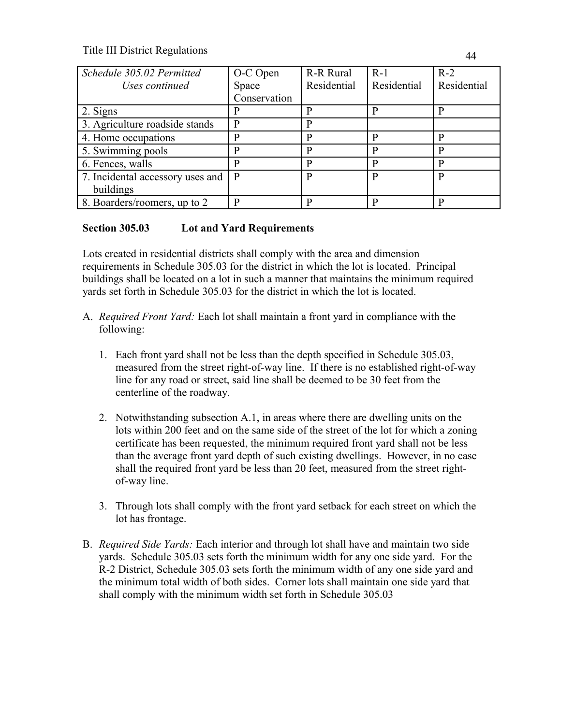| Schedule 305.02 Permitted        | O-C Open     | <b>R-R Rural</b> | $R-1$       | $R-2$       |
|----------------------------------|--------------|------------------|-------------|-------------|
| Uses continued                   | Space        | Residential      | Residential | Residential |
|                                  | Conservation |                  |             |             |
| 2. Signs                         |              |                  | P           |             |
| 3. Agriculture roadside stands   | p            |                  |             |             |
| 4. Home occupations              |              |                  | p           | D           |
| 5. Swimming pools                |              |                  | р           |             |
| 6. Fences, walls                 |              |                  | P           |             |
| 7. Incidental accessory uses and | P            |                  | P           | P           |
| buildings                        |              |                  |             |             |
| 8. Boarders/roomers, up to 2     |              |                  | D           |             |

## **Section 305.03 Lot and Yard Requirements**

Lots created in residential districts shall comply with the area and dimension requirements in Schedule 305.03 for the district in which the lot is located. Principal buildings shall be located on a lot in such a manner that maintains the minimum required yards set forth in Schedule 305.03 for the district in which the lot is located.

- A. *Required Front Yard:* Each lot shall maintain a front yard in compliance with the following:
	- 1. Each front yard shall not be less than the depth specified in Schedule 305.03, measured from the street right-of-way line. If there is no established right-of-way line for any road or street, said line shall be deemed to be 30 feet from the centerline of the roadway.
	- 2. Notwithstanding subsection A.1, in areas where there are dwelling units on the lots within 200 feet and on the same side of the street of the lot for which a zoning certificate has been requested, the minimum required front yard shall not be less than the average front yard depth of such existing dwellings. However, in no case shall the required front yard be less than 20 feet, measured from the street rightof-way line.
	- 3. Through lots shall comply with the front yard setback for each street on which the lot has frontage.
- B. *Required Side Yards:* Each interior and through lot shall have and maintain two side yards. Schedule 305.03 sets forth the minimum width for any one side yard. For the R-2 District, Schedule 305.03 sets forth the minimum width of any one side yard and the minimum total width of both sides. Corner lots shall maintain one side yard that shall comply with the minimum width set forth in Schedule 305.03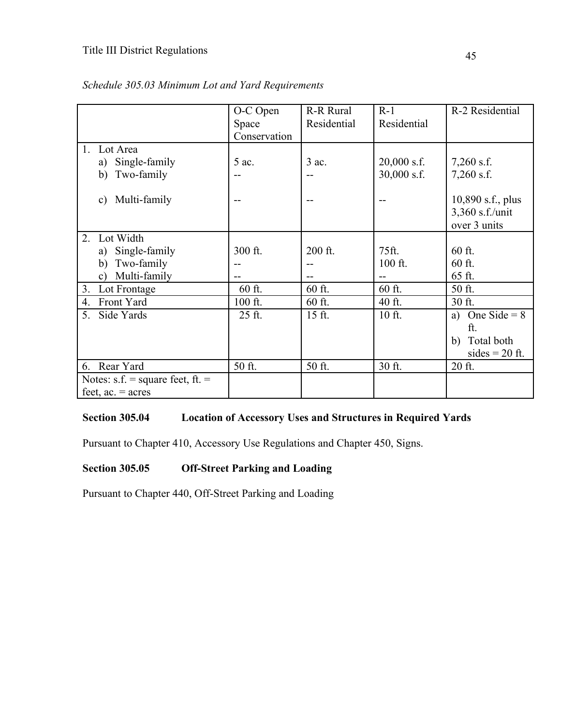|                                    | O-C Open     | R-R Rural   | $R-1$         | R-2 Residential      |
|------------------------------------|--------------|-------------|---------------|----------------------|
|                                    | Space        | Residential | Residential   |                      |
|                                    | Conservation |             |               |                      |
| Lot Area                           |              |             |               |                      |
| Single-family<br>a)                | 5 ac.        | $3$ ac.     | $20,000$ s.f. | $7,260$ s.f.         |
| Two-family<br>b)                   | --           |             | $30,000$ s.f. | $7,260$ s.f.         |
|                                    |              |             |               |                      |
| Multi-family<br>c)                 |              |             |               | 10,890 s.f., plus    |
|                                    |              |             |               | 3,360 s.f./unit      |
|                                    |              |             |               | over 3 units         |
| Lot Width<br>2.                    |              |             |               |                      |
| Single-family<br>a)                | 300 ft.      | 200 ft.     | 75ft.         | 60 ft.               |
| b)<br>Two-family                   | --           |             | 100 ft.       | 60 ft.               |
| Multi-family<br>$\mathbf{c})$      |              |             |               | 65 ft.               |
| 3.<br>Lot Frontage                 | 60 ft.       | 60 ft.      | 60 ft.        | 50 ft.               |
| Front Yard<br>4.                   | 100 ft.      | 60 ft.      | 40 ft.        | 30 ft.               |
| 5.<br>Side Yards                   | 25 ft.       | $15$ ft.    | 10 ft.        | One Side = $8$<br>a) |
|                                    |              |             |               | ft.                  |
|                                    |              |             |               | Total both<br>b)     |
|                                    |              |             |               | sides $= 20$ ft.     |
| 6. Rear Yard                       | 50 ft.       | 50 ft.      | 30 ft.        | 20 ft.               |
| Notes: $s.f.$ = square feet, ft. = |              |             |               |                      |
| feet, $ac = acres$                 |              |             |               |                      |

|  | Schedule 305.03 Minimum Lot and Yard Requirements |
|--|---------------------------------------------------|
|--|---------------------------------------------------|

# **Section 305.04 Location of Accessory Uses and Structures in Required Yards**

Pursuant to Chapter 410, Accessory Use Regulations and Chapter 450, Signs.

# **Section 305.05 Off-Street Parking and Loading**

Pursuant to Chapter 440, Off-Street Parking and Loading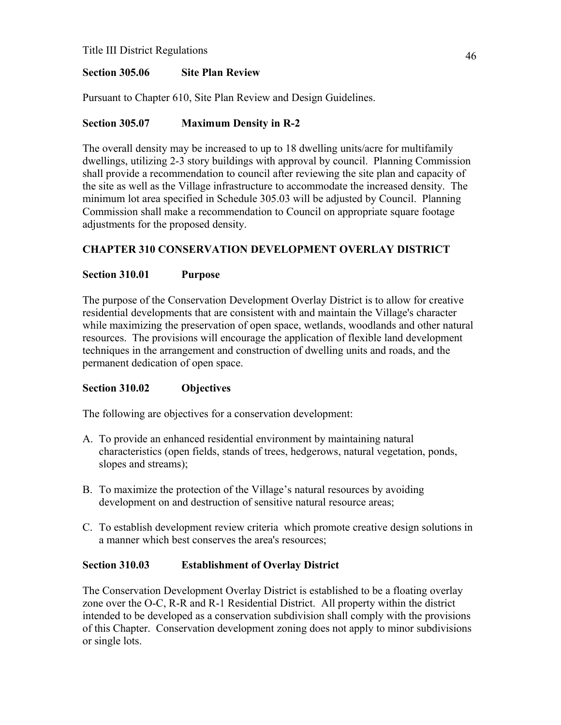## **Section 305.06 Site Plan Review**

Pursuant to Chapter 610, Site Plan Review and Design Guidelines.

## **Section 305.07 Maximum Density in R-2**

The overall density may be increased to up to 18 dwelling units/acre for multifamily dwellings, utilizing 2-3 story buildings with approval by council. Planning Commission shall provide a recommendation to council after reviewing the site plan and capacity of the site as well as the Village infrastructure to accommodate the increased density. The minimum lot area specified in Schedule 305.03 will be adjusted by Council. Planning Commission shall make a recommendation to Council on appropriate square footage adjustments for the proposed density.

# **CHAPTER 310 CONSERVATION DEVELOPMENT OVERLAY DISTRICT**

## **Section 310.01 Purpose**

The purpose of the Conservation Development Overlay District is to allow for creative residential developments that are consistent with and maintain the Village's character while maximizing the preservation of open space, wetlands, woodlands and other natural resources. The provisions will encourage the application of flexible land development techniques in the arrangement and construction of dwelling units and roads, and the permanent dedication of open space.

## **Section 310.02 Objectives**

The following are objectives for a conservation development:

- A. To provide an enhanced residential environment by maintaining natural characteristics (open fields, stands of trees, hedgerows, natural vegetation, ponds, slopes and streams);
- B. To maximize the protection of the Village's natural resources by avoiding development on and destruction of sensitive natural resource areas;
- C. To establish development review criteria which promote creative design solutions in a manner which best conserves the area's resources;

## **Section 310.03 Establishment of Overlay District**

The Conservation Development Overlay District is established to be a floating overlay zone over the O-C, R-R and R-1 Residential District. All property within the district intended to be developed as a conservation subdivision shall comply with the provisions of this Chapter. Conservation development zoning does not apply to minor subdivisions or single lots.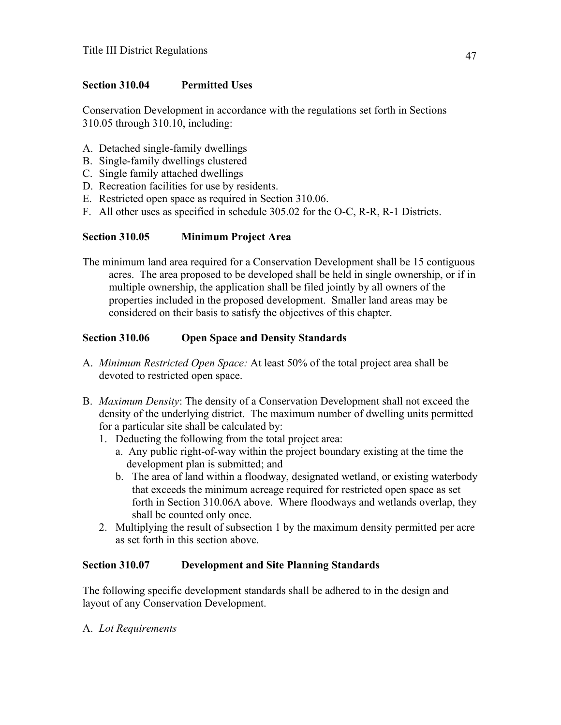## **Section 310.04 Permitted Uses**

Conservation Development in accordance with the regulations set forth in Sections 310.05 through 310.10, including:

- A. Detached single-family dwellings
- B. Single-family dwellings clustered
- C. Single family attached dwellings
- D. Recreation facilities for use by residents.
- E. Restricted open space as required in Section 310.06.
- F. All other uses as specified in schedule 305.02 for the O-C, R-R, R-1 Districts.

## **Section 310.05 Minimum Project Area**

The minimum land area required for a Conservation Development shall be 15 contiguous acres. The area proposed to be developed shall be held in single ownership, or if in multiple ownership, the application shall be filed jointly by all owners of the properties included in the proposed development. Smaller land areas may be considered on their basis to satisfy the objectives of this chapter.

## **Section 310.06 Open Space and Density Standards**

- A. *Minimum Restricted Open Space:* At least 50% of the total project area shall be devoted to restricted open space.
- B. *Maximum Density*: The density of a Conservation Development shall not exceed the density of the underlying district. The maximum number of dwelling units permitted for a particular site shall be calculated by:
	- 1. Deducting the following from the total project area:
		- a. Any public right-of-way within the project boundary existing at the time the development plan is submitted; and
		- b. The area of land within a floodway, designated wetland, or existing waterbody that exceeds the minimum acreage required for restricted open space as set forth in Section 310.06A above. Where floodways and wetlands overlap, they shall be counted only once.
	- 2. Multiplying the result of subsection 1 by the maximum density permitted per acre as set forth in this section above.

### **Section 310.07 Development and Site Planning Standards**

The following specific development standards shall be adhered to in the design and layout of any Conservation Development.

### A. *Lot Requirements*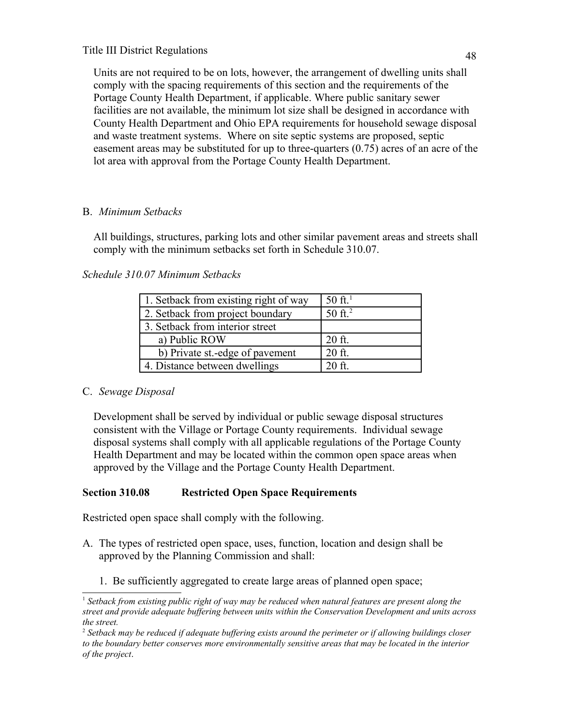Units are not required to be on lots, however, the arrangement of dwelling units shall comply with the spacing requirements of this section and the requirements of the Portage County Health Department, if applicable. Where public sanitary sewer facilities are not available, the minimum lot size shall be designed in accordance with County Health Department and Ohio EPA requirements for household sewage disposal and waste treatment systems. Where on site septic systems are proposed, septic easement areas may be substituted for up to three-quarters (0.75) acres of an acre of the lot area with approval from the Portage County Health Department.

# B. *Minimum Setbacks*

 All buildings, structures, parking lots and other similar pavement areas and streets shall comply with the minimum setbacks set forth in Schedule 310.07.

# *Schedule 310.07 Minimum Setbacks*

| 1. Setback from existing right of way | $50 \text{ ft}^1$ |
|---------------------------------------|-------------------|
| 2. Setback from project boundary      | 50 ft. $^{2}$     |
| 3. Setback from interior street       |                   |
| a) Public ROW                         | $20$ ft.          |
| b) Private st.-edge of pavement       | $20$ ft.          |
| 4. Distance between dwellings         | $20$ ft.          |

# C. *Sewage Disposal*

 Development shall be served by individual or public sewage disposal structures consistent with the Village or Portage County requirements. Individual sewage disposal systems shall comply with all applicable regulations of the Portage County Health Department and may be located within the common open space areas when approved by the Village and the Portage County Health Department.

# **Section 310.08 Restricted Open Space Requirements**

Restricted open space shall comply with the following.

- A. The types of restricted open space, uses, function, location and design shall be approved by the Planning Commission and shall:
	- 1. Be sufficiently aggregated to create large areas of planned open space;

<span id="page-8-0"></span><sup>&</sup>lt;sup>1</sup> Setback from existing public right of way may be reduced when natural features are present along the *street and provide adequate buffering between units within the Conservation Development and units across the street.*

<span id="page-8-1"></span><sup>2</sup>  *Setback may be reduced if adequate buffering exists around the perimeter or if allowing buildings closer to the boundary better conserves more environmentally sensitive areas that may be located in the interior of the project*.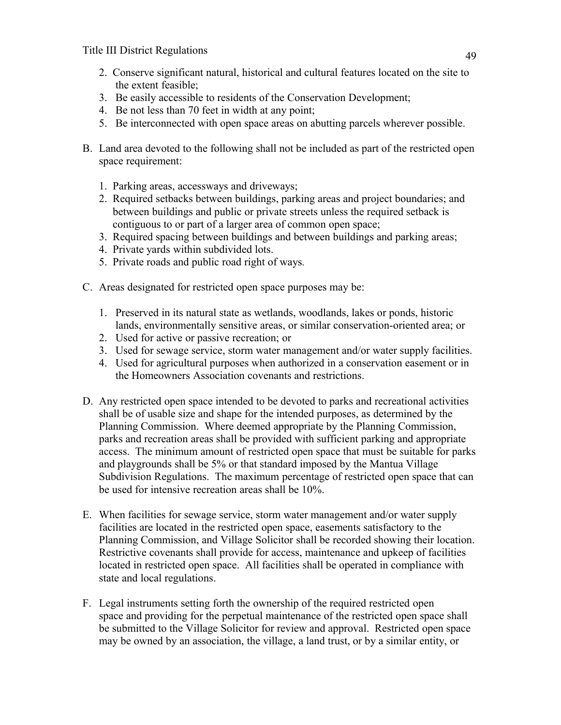- 2. Conserve significant natural, historical and cultural features located on the site to the extent feasible;
- 3. Be easily accessible to residents of the Conservation Development;
- 4. Be not less than 70 feet in width at any point;
- 5. Be interconnected with open space areas on abutting parcels wherever possible.
- B. Land area devoted to the following shall not be included as part of the restricted open space requirement:
	- 1. Parking areas, accessways and driveways;
	- 2. Required setbacks between buildings, parking areas and project boundaries; and between buildings and public or private streets unless the required setback is contiguous to or part of a larger area of common open space;
	- 3. Required spacing between buildings and between buildings and parking areas;
	- 4. Private yards within subdivided lots.
	- 5. Private roads and public road right of ways*.*
- C. Areas designated for restricted open space purposes may be:
	- 1. Preserved in its natural state as wetlands, woodlands, lakes or ponds, historic lands, environmentally sensitive areas, or similar conservation-oriented area; or
	- 2. Used for active or passive recreation; or
	- 3. Used for sewage service, storm water management and/or water supply facilities.
	- 4. Used for agricultural purposes when authorized in a conservation easement or in the Homeowners Association covenants and restrictions.
- D. Any restricted open space intended to be devoted to parks and recreational activities shall be of usable size and shape for the intended purposes, as determined by the Planning Commission. Where deemed appropriate by the Planning Commission, parks and recreation areas shall be provided with sufficient parking and appropriate access. The minimum amount of restricted open space that must be suitable for parks and playgrounds shall be 5% or that standard imposed by the Mantua Village Subdivision Regulations. The maximum percentage of restricted open space that can be used for intensive recreation areas shall be 10%.
- E. When facilities for sewage service, storm water management and/or water supply facilities are located in the restricted open space, easements satisfactory to the Planning Commission, and Village Solicitor shall be recorded showing their location. Restrictive covenants shall provide for access, maintenance and upkeep of facilities located in restricted open space. All facilities shall be operated in compliance with state and local regulations.
- F. Legal instruments setting forth the ownership of the required restricted open space and providing for the perpetual maintenance of the restricted open space shall be submitted to the Village Solicitor for review and approval. Restricted open space may be owned by an association, the village, a land trust, or by a similar entity, or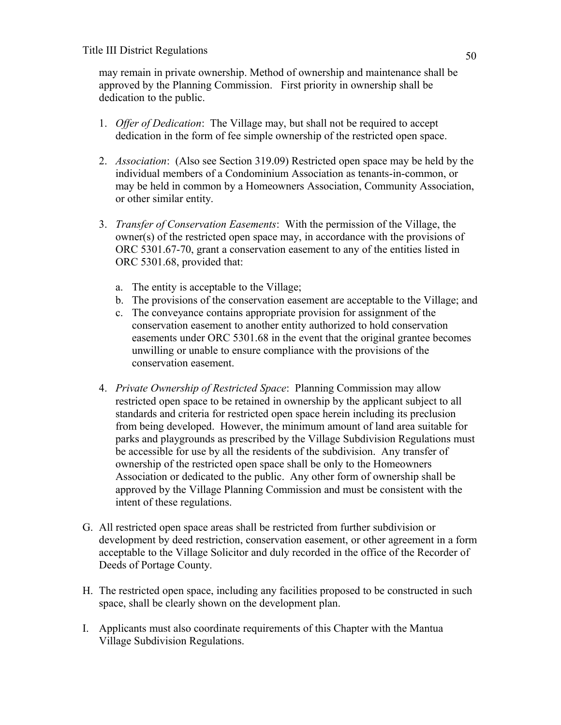may remain in private ownership. Method of ownership and maintenance shall be approved by the Planning Commission. First priority in ownership shall be dedication to the public.

- 1. *Offer of Dedication*: The Village may, but shall not be required to accept dedication in the form of fee simple ownership of the restricted open space.
- 2. *Association*: (Also see Section 319.09) Restricted open space may be held by the individual members of a Condominium Association as tenants-in-common, or may be held in common by a Homeowners Association, Community Association, or other similar entity.
- 3. *Transfer of Conservation Easements*: With the permission of the Village, the owner(s) of the restricted open space may, in accordance with the provisions of ORC 5301.67-70, grant a conservation easement to any of the entities listed in ORC 5301.68, provided that:
	- a. The entity is acceptable to the Village;
	- b. The provisions of the conservation easement are acceptable to the Village; and
	- c. The conveyance contains appropriate provision for assignment of the conservation easement to another entity authorized to hold conservation easements under ORC 5301.68 in the event that the original grantee becomes unwilling or unable to ensure compliance with the provisions of the conservation easement.
- 4. *Private Ownership of Restricted Space*: Planning Commission may allow restricted open space to be retained in ownership by the applicant subject to all standards and criteria for restricted open space herein including its preclusion from being developed. However, the minimum amount of land area suitable for parks and playgrounds as prescribed by the Village Subdivision Regulations must be accessible for use by all the residents of the subdivision. Any transfer of ownership of the restricted open space shall be only to the Homeowners Association or dedicated to the public. Any other form of ownership shall be approved by the Village Planning Commission and must be consistent with the intent of these regulations.
- G. All restricted open space areas shall be restricted from further subdivision or development by deed restriction, conservation easement, or other agreement in a form acceptable to the Village Solicitor and duly recorded in the office of the Recorder of Deeds of Portage County.
- H. The restricted open space, including any facilities proposed to be constructed in such space, shall be clearly shown on the development plan.
- I. Applicants must also coordinate requirements of this Chapter with the Mantua Village Subdivision Regulations.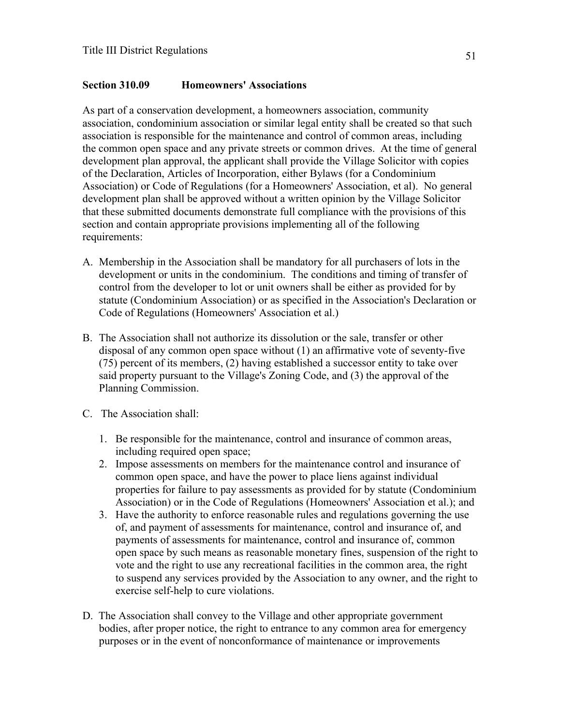#### **Section 310.09 Homeowners' Associations**

As part of a conservation development, a homeowners association, community association, condominium association or similar legal entity shall be created so that such association is responsible for the maintenance and control of common areas, including the common open space and any private streets or common drives. At the time of general development plan approval, the applicant shall provide the Village Solicitor with copies of the Declaration, Articles of Incorporation, either Bylaws (for a Condominium Association) or Code of Regulations (for a Homeowners' Association, et al). No general development plan shall be approved without a written opinion by the Village Solicitor that these submitted documents demonstrate full compliance with the provisions of this section and contain appropriate provisions implementing all of the following requirements:

- A. Membership in the Association shall be mandatory for all purchasers of lots in the development or units in the condominium. The conditions and timing of transfer of control from the developer to lot or unit owners shall be either as provided for by statute (Condominium Association) or as specified in the Association's Declaration or Code of Regulations (Homeowners' Association et al.)
- B. The Association shall not authorize its dissolution or the sale, transfer or other disposal of any common open space without (1) an affirmative vote of seventy-five (75) percent of its members, (2) having established a successor entity to take over said property pursuant to the Village's Zoning Code, and (3) the approval of the Planning Commission.
- C. The Association shall:
	- 1. Be responsible for the maintenance, control and insurance of common areas, including required open space;
	- 2. Impose assessments on members for the maintenance control and insurance of common open space, and have the power to place liens against individual properties for failure to pay assessments as provided for by statute (Condominium Association) or in the Code of Regulations (Homeowners' Association et al.); and
	- 3. Have the authority to enforce reasonable rules and regulations governing the use of, and payment of assessments for maintenance, control and insurance of, and payments of assessments for maintenance, control and insurance of, common open space by such means as reasonable monetary fines, suspension of the right to vote and the right to use any recreational facilities in the common area, the right to suspend any services provided by the Association to any owner, and the right to exercise self-help to cure violations.
- D. The Association shall convey to the Village and other appropriate government bodies, after proper notice, the right to entrance to any common area for emergency purposes or in the event of nonconformance of maintenance or improvements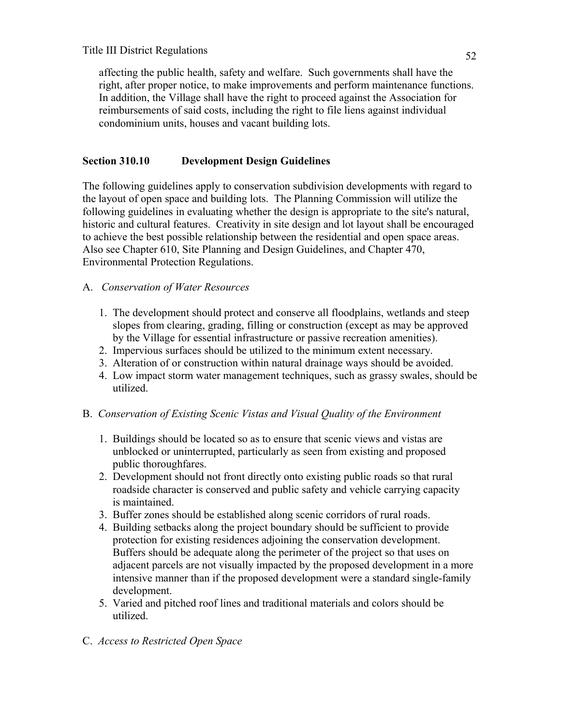affecting the public health, safety and welfare. Such governments shall have the right, after proper notice, to make improvements and perform maintenance functions. In addition, the Village shall have the right to proceed against the Association for reimbursements of said costs, including the right to file liens against individual condominium units, houses and vacant building lots.

## **Section 310.10 Development Design Guidelines**

The following guidelines apply to conservation subdivision developments with regard to the layout of open space and building lots. The Planning Commission will utilize the following guidelines in evaluating whether the design is appropriate to the site's natural, historic and cultural features. Creativity in site design and lot layout shall be encouraged to achieve the best possible relationship between the residential and open space areas. Also see Chapter 610, Site Planning and Design Guidelines, and Chapter 470, Environmental Protection Regulations.

## A. *Conservation of Water Resources*

- 1. The development should protect and conserve all floodplains, wetlands and steep slopes from clearing, grading, filling or construction (except as may be approved by the Village for essential infrastructure or passive recreation amenities).
- 2. Impervious surfaces should be utilized to the minimum extent necessary.
- 3. Alteration of or construction within natural drainage ways should be avoided.
- 4. Low impact storm water management techniques, such as grassy swales, should be utilized.

## B. *Conservation of Existing Scenic Vistas and Visual Quality of the Environment*

- 1. Buildings should be located so as to ensure that scenic views and vistas are unblocked or uninterrupted, particularly as seen from existing and proposed public thoroughfares.
- 2. Development should not front directly onto existing public roads so that rural roadside character is conserved and public safety and vehicle carrying capacity is maintained.
- 3. Buffer zones should be established along scenic corridors of rural roads.
- 4. Building setbacks along the project boundary should be sufficient to provide protection for existing residences adjoining the conservation development. Buffers should be adequate along the perimeter of the project so that uses on adjacent parcels are not visually impacted by the proposed development in a more intensive manner than if the proposed development were a standard single-family development.
- 5. Varied and pitched roof lines and traditional materials and colors should be utilized.
- C. *Access to Restricted Open Space*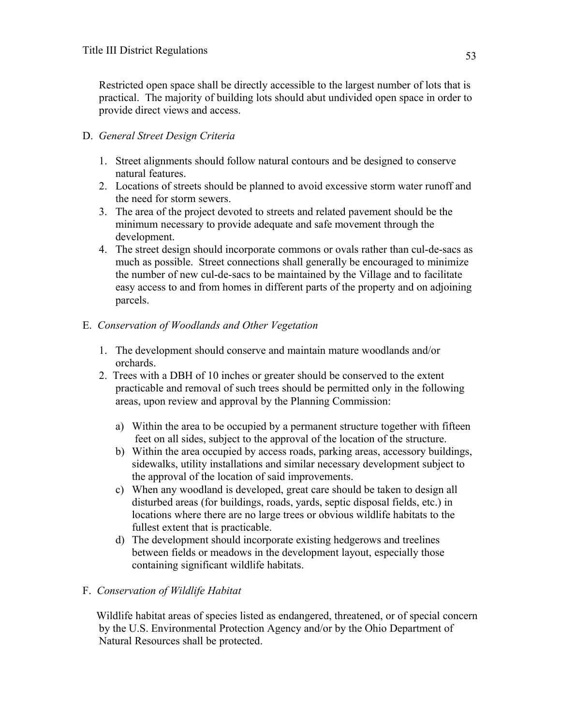Restricted open space shall be directly accessible to the largest number of lots that is practical. The majority of building lots should abut undivided open space in order to provide direct views and access.

## D. *General Street Design Criteria*

- 1. Street alignments should follow natural contours and be designed to conserve natural features.
- 2. Locations of streets should be planned to avoid excessive storm water runoff and the need for storm sewers.
- 3. The area of the project devoted to streets and related pavement should be the minimum necessary to provide adequate and safe movement through the development.
- 4. The street design should incorporate commons or ovals rather than cul-de-sacs as much as possible. Street connections shall generally be encouraged to minimize the number of new cul-de-sacs to be maintained by the Village and to facilitate easy access to and from homes in different parts of the property and on adjoining parcels.

## E. *Conservation of Woodlands and Other Vegetation*

- 1. The development should conserve and maintain mature woodlands and/or orchards.
- 2. Trees with a DBH of 10 inches or greater should be conserved to the extent practicable and removal of such trees should be permitted only in the following areas, upon review and approval by the Planning Commission:
	- a) Within the area to be occupied by a permanent structure together with fifteen feet on all sides, subject to the approval of the location of the structure.
	- b) Within the area occupied by access roads, parking areas, accessory buildings, sidewalks, utility installations and similar necessary development subject to the approval of the location of said improvements.
	- c) When any woodland is developed, great care should be taken to design all disturbed areas (for buildings, roads, yards, septic disposal fields, etc.) in locations where there are no large trees or obvious wildlife habitats to the fullest extent that is practicable.
	- d) The development should incorporate existing hedgerows and treelines between fields or meadows in the development layout, especially those containing significant wildlife habitats.

## F. *Conservation of Wildlife Habitat*

 Wildlife habitat areas of species listed as endangered, threatened, or of special concern by the U.S. Environmental Protection Agency and/or by the Ohio Department of Natural Resources shall be protected.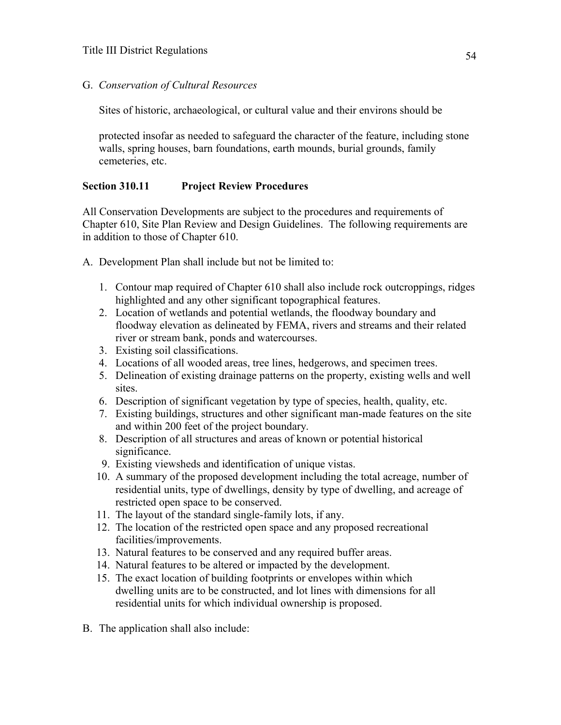G. *Conservation of Cultural Resources*

Sites of historic, archaeological, or cultural value and their environs should be

 protected insofar as needed to safeguard the character of the feature, including stone walls, spring houses, barn foundations, earth mounds, burial grounds, family cemeteries, etc.

## **Section 310.11 Project Review Procedures**

All Conservation Developments are subject to the procedures and requirements of Chapter 610, Site Plan Review and Design Guidelines. The following requirements are in addition to those of Chapter 610.

A. Development Plan shall include but not be limited to:

- 1. Contour map required of Chapter 610 shall also include rock outcroppings, ridges highlighted and any other significant topographical features.
- 2. Location of wetlands and potential wetlands, the floodway boundary and floodway elevation as delineated by FEMA, rivers and streams and their related river or stream bank, ponds and watercourses.
- 3. Existing soil classifications.
- 4. Locations of all wooded areas, tree lines, hedgerows, and specimen trees.
- 5. Delineation of existing drainage patterns on the property, existing wells and well sites.
- 6. Description of significant vegetation by type of species, health, quality, etc.
- 7. Existing buildings, structures and other significant man-made features on the site and within 200 feet of the project boundary.
- 8. Description of all structures and areas of known or potential historical significance.
- 9. Existing viewsheds and identification of unique vistas.
- 10. A summary of the proposed development including the total acreage, number of residential units, type of dwellings, density by type of dwelling, and acreage of restricted open space to be conserved.
- 11. The layout of the standard single-family lots, if any.
- 12. The location of the restricted open space and any proposed recreational facilities/improvements.
- 13. Natural features to be conserved and any required buffer areas.
- 14. Natural features to be altered or impacted by the development.
- 15. The exact location of building footprints or envelopes within which dwelling units are to be constructed, and lot lines with dimensions for all residential units for which individual ownership is proposed.
- B. The application shall also include: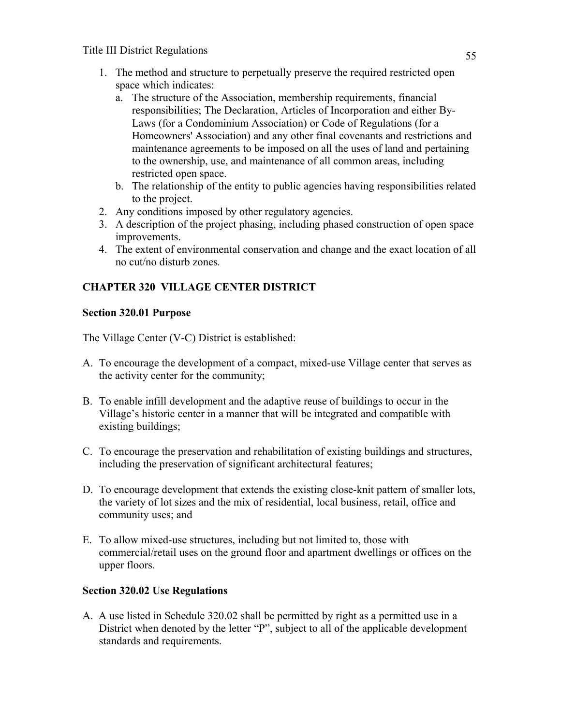- 1. The method and structure to perpetually preserve the required restricted open space which indicates:
	- a. The structure of the Association, membership requirements, financial responsibilities; The Declaration, Articles of Incorporation and either By-Laws (for a Condominium Association) or Code of Regulations (for a Homeowners' Association) and any other final covenants and restrictions and maintenance agreements to be imposed on all the uses of land and pertaining to the ownership, use, and maintenance of all common areas, including restricted open space.
	- b. The relationship of the entity to public agencies having responsibilities related to the project.
- 2. Any conditions imposed by other regulatory agencies.
- 3. A description of the project phasing, including phased construction of open space improvements.
- 4. The extent of environmental conservation and change and the exact location of all no cut/no disturb zones*.*

# **CHAPTER 320 VILLAGE CENTER DISTRICT**

# **Section 320.01 Purpose**

The Village Center (V-C) District is established:

- A. To encourage the development of a compact, mixed-use Village center that serves as the activity center for the community;
- B. To enable infill development and the adaptive reuse of buildings to occur in the Village's historic center in a manner that will be integrated and compatible with existing buildings;
- C. To encourage the preservation and rehabilitation of existing buildings and structures, including the preservation of significant architectural features;
- D. To encourage development that extends the existing close-knit pattern of smaller lots, the variety of lot sizes and the mix of residential, local business, retail, office and community uses; and
- E. To allow mixed-use structures, including but not limited to, those with commercial/retail uses on the ground floor and apartment dwellings or offices on the upper floors.

# **Section 320.02 Use Regulations**

A. A use listed in Schedule 320.02 shall be permitted by right as a permitted use in a District when denoted by the letter "P", subject to all of the applicable development standards and requirements.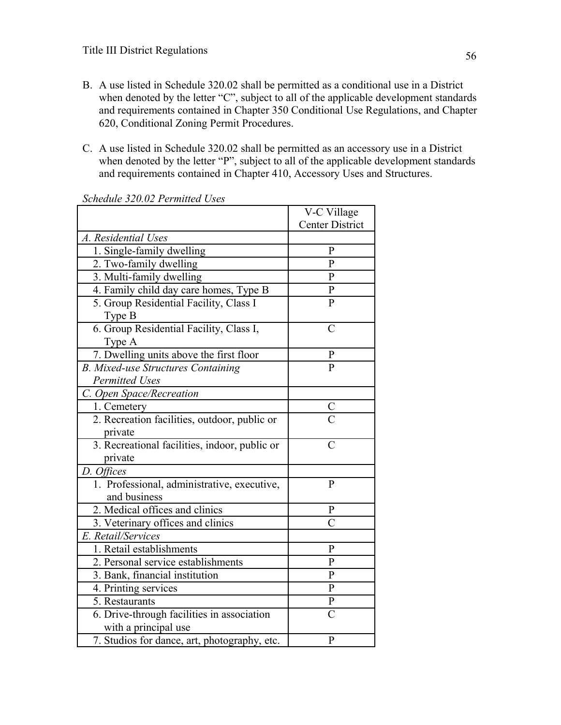- B. A use listed in Schedule 320.02 shall be permitted as a conditional use in a District when denoted by the letter "C", subject to all of the applicable development standards and requirements contained in Chapter 350 Conditional Use Regulations, and Chapter 620, Conditional Zoning Permit Procedures.
- C. A use listed in Schedule 320.02 shall be permitted as an accessory use in a District when denoted by the letter "P", subject to all of the applicable development standards and requirements contained in Chapter 410, Accessory Uses and Structures.

|                                                                    | V-C Village            |
|--------------------------------------------------------------------|------------------------|
|                                                                    | <b>Center District</b> |
| A. Residential Uses                                                |                        |
| 1. Single-family dwelling                                          | $\mathbf{P}$           |
| 2. Two-family dwelling                                             | $\mathbf{P}$           |
| 3. Multi-family dwelling                                           | $\mathbf{P}$           |
| 4. Family child day care homes, Type B                             | ${\bf P}$              |
| 5. Group Residential Facility, Class I<br>Type B                   | $\overline{P}$         |
| 6. Group Residential Facility, Class I,<br>Type A                  | $\overline{C}$         |
| 7. Dwelling units above the first floor                            | P                      |
| <b>B. Mixed-use Structures Containing</b><br><b>Permitted Uses</b> | P                      |
| C. Open Space/Recreation                                           |                        |
| 1. Cemetery                                                        |                        |
| 2. Recreation facilities, outdoor, public or<br>private            | $\frac{C}{C}$          |
| 3. Recreational facilities, indoor, public or<br>private           | $\overline{C}$         |
| D. Offices                                                         |                        |
| 1. Professional, administrative, executive,<br>and business        | $\mathbf{P}$           |
| 2. Medical offices and clinics                                     | $\mathbf P$            |
| 3. Veterinary offices and clinics                                  | $\overline{C}$         |
| E. Retail/Services                                                 |                        |
| 1. Retail establishments                                           | $\mathbf{P}$           |
| 2. Personal service establishments                                 | $\overline{P}$         |
| 3. Bank, financial institution                                     | $\overline{P}$         |
| 4. Printing services                                               | $\mathbf P$            |
| 5. Restaurants                                                     | $\mathbf P$            |
| 6. Drive-through facilities in association<br>with a principal use | $\overline{C}$         |
| 7. Studios for dance, art, photography, etc.                       | $\mathbf{P}$           |

*Schedule 320.02 Permitted Uses*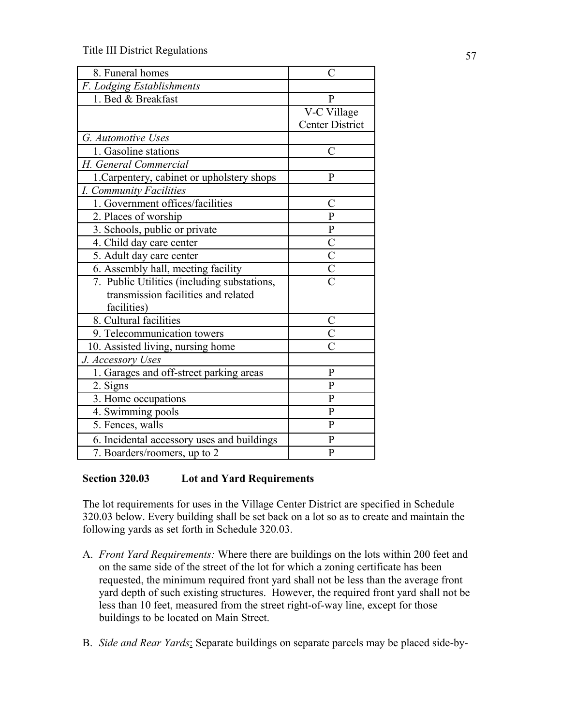| 8. Funeral homes                            | Ċ                                 |
|---------------------------------------------|-----------------------------------|
| F. Lodging Establishments                   |                                   |
| 1. Bed & Breakfast                          | $\mathbf{P}$                      |
|                                             | V-C Village                       |
|                                             | Center District                   |
| G. Automotive Uses                          |                                   |
| 1. Gasoline stations                        | C                                 |
| H. General Commercial                       |                                   |
| 1. Carpentery, cabinet or upholstery shops  | P                                 |
| I. Community Facilities                     |                                   |
| 1. Government offices/facilities            | C                                 |
| 2. Places of worship                        | $\overline{P}$                    |
| 3. Schools, public or private               | $\overline{\mathrm{P}}$           |
| 4. Child day care center                    |                                   |
| 5. Adult day care center                    | $rac{\overline{C}}{\overline{C}}$ |
| 6. Assembly hall, meeting facility          |                                   |
| 7. Public Utilities (including substations, | $\overline{C}$                    |
| transmission facilities and related         |                                   |
| facilities)                                 |                                   |
| 8. Cultural facilities                      | $\mathcal C$                      |
| 9. Telecommunication towers                 | $\overline{\mathrm{C}}$           |
| 10. Assisted living, nursing home           | $\overline{\overline{C}}$         |
| J. Accessory Uses                           |                                   |
| 1. Garages and off-street parking areas     | $\mathbf{P}$                      |
| 2. Signs                                    | $\overline{P}$                    |
| 3. Home occupations                         | $\mathbf P$                       |
| 4. Swimming pools                           | $\overline{P}$                    |
| 5. Fences, walls                            | $\mathbf{P}$                      |
| 6. Incidental accessory uses and buildings  | $\overline{P}$                    |
| 7. Boarders/roomers, up to 2                | $\overline{P}$                    |

### **Section 320.03 Lot and Yard Requirements**

The lot requirements for uses in the Village Center District are specified in Schedule 320.03 below. Every building shall be set back on a lot so as to create and maintain the following yards as set forth in Schedule 320.03.

- A. *Front Yard Requirements:* Where there are buildings on the lots within 200 feet and on the same side of the street of the lot for which a zoning certificate has been requested, the minimum required front yard shall not be less than the average front yard depth of such existing structures. However, the required front yard shall not be less than 10 feet, measured from the street right-of-way line, except for those buildings to be located on Main Street.
- B. *Side and Rear Yards*: Separate buildings on separate parcels may be placed side-by-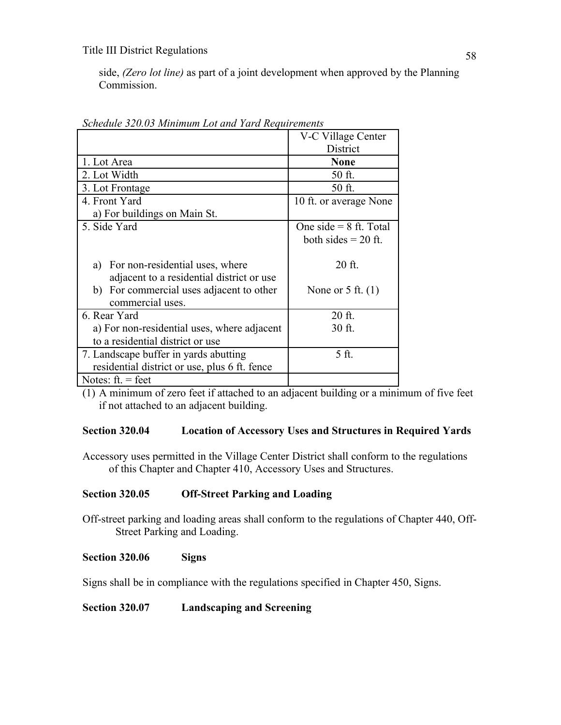side, *(Zero lot line)* as part of a joint development when approved by the Planning Commission.

|                                               | V-C Village Center       |
|-----------------------------------------------|--------------------------|
|                                               | <b>District</b>          |
| 1. Lot Area                                   | <b>None</b>              |
| 2. Lot Width                                  | 50 ft.                   |
| 3. Lot Frontage                               | 50 ft.                   |
| 4. Front Yard                                 | 10 ft. or average None   |
| a) For buildings on Main St.                  |                          |
| 5. Side Yard                                  | One side $= 8$ ft. Total |
|                                               | both sides $= 20$ ft.    |
|                                               |                          |
| a) For non-residential uses, where            | 20 ft.                   |
| adjacent to a residential district or use     |                          |
| b) For commercial uses adjacent to other      | None or $5$ ft. $(1)$    |
| commercial uses.                              |                          |
| 6. Rear Yard                                  | $20$ ft.                 |
| a) For non-residential uses, where adjacent   | 30 ft.                   |
| to a residential district or use              |                          |
| 7. Landscape buffer in yards abutting         | 5 ft.                    |
| residential district or use, plus 6 ft. fence |                          |
| Notes: $ft = feet$                            |                          |

*Schedule 320.03 Minimum Lot and Yard Requirements*

(1) A minimum of zero feet if attached to an adjacent building or a minimum of five feet if not attached to an adjacent building.

### **Section 320.04 Location of Accessory Uses and Structures in Required Yards**

Accessory uses permitted in the Village Center District shall conform to the regulations of this Chapter and Chapter 410, Accessory Uses and Structures.

## **Section 320.05 Off-Street Parking and Loading**

Off-street parking and loading areas shall conform to the regulations of Chapter 440, Off-Street Parking and Loading.

### **Section 320.06 Signs**

Signs shall be in compliance with the regulations specified in Chapter 450, Signs.

### **Section 320.07 Landscaping and Screening**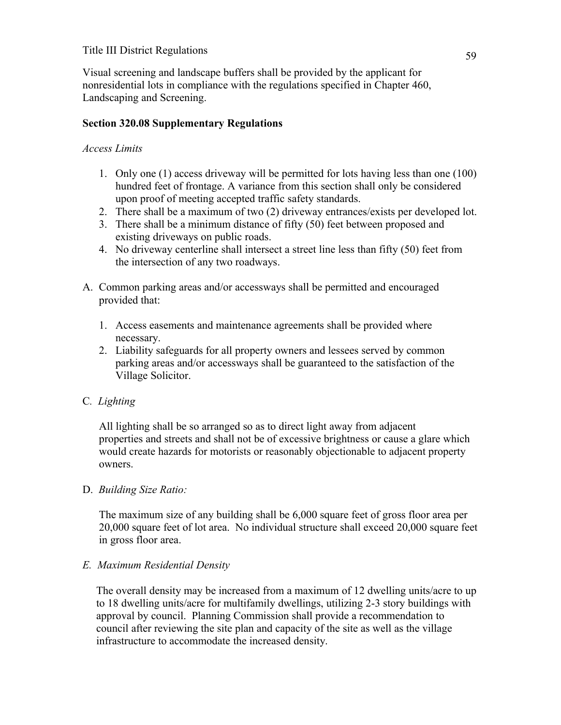Visual screening and landscape buffers shall be provided by the applicant for nonresidential lots in compliance with the regulations specified in Chapter 460, Landscaping and Screening.

## **Section 320.08 Supplementary Regulations**

## *Access Limits*

- 1. Only one (1) access driveway will be permitted for lots having less than one (100) hundred feet of frontage. A variance from this section shall only be considered upon proof of meeting accepted traffic safety standards.
- 2. There shall be a maximum of two (2) driveway entrances/exists per developed lot.
- 3. There shall be a minimum distance of fifty (50) feet between proposed and existing driveways on public roads.
- 4. No driveway centerline shall intersect a street line less than fifty (50) feet from the intersection of any two roadways.
- A. Common parking areas and/or accessways shall be permitted and encouraged provided that:
	- 1. Access easements and maintenance agreements shall be provided where necessary.
	- 2. Liability safeguards for all property owners and lessees served by common parking areas and/or accessways shall be guaranteed to the satisfaction of the Village Solicitor.

## C*. Lighting*

All lighting shall be so arranged so as to direct light away from adjacent properties and streets and shall not be of excessive brightness or cause a glare which would create hazards for motorists or reasonably objectionable to adjacent property owners.

## D. *Building Size Ratio:*

The maximum size of any building shall be 6,000 square feet of gross floor area per 20,000 square feet of lot area. No individual structure shall exceed 20,000 square feet in gross floor area.

## *E. Maximum Residential Density*

The overall density may be increased from a maximum of 12 dwelling units/acre to up to 18 dwelling units/acre for multifamily dwellings, utilizing 2-3 story buildings with approval by council. Planning Commission shall provide a recommendation to council after reviewing the site plan and capacity of the site as well as the village infrastructure to accommodate the increased density.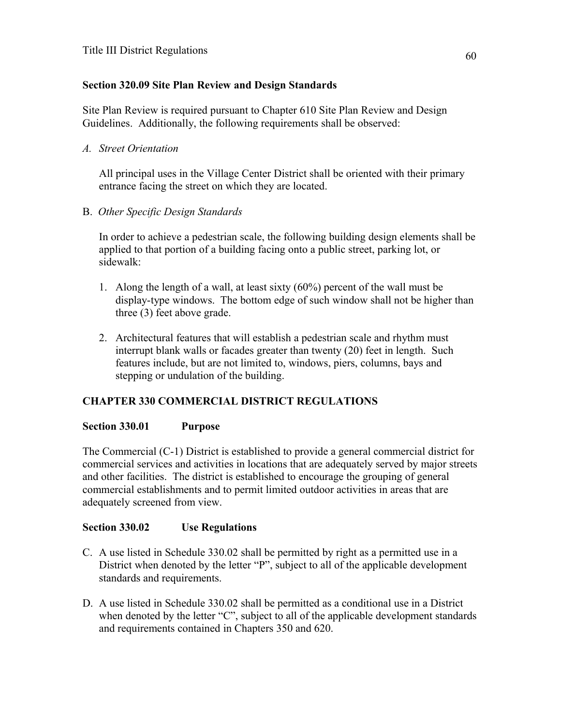## **Section 320.09 Site Plan Review and Design Standards**

Site Plan Review is required pursuant to Chapter 610 Site Plan Review and Design Guidelines. Additionally, the following requirements shall be observed:

*A. Street Orientation*

 All principal uses in the Village Center District shall be oriented with their primary entrance facing the street on which they are located.

B. *Other Specific Design Standards*

 In order to achieve a pedestrian scale, the following building design elements shall be applied to that portion of a building facing onto a public street, parking lot, or sidewalk:

- 1. Along the length of a wall, at least sixty (60%) percent of the wall must be display-type windows. The bottom edge of such window shall not be higher than three (3) feet above grade.
- 2. Architectural features that will establish a pedestrian scale and rhythm must interrupt blank walls or facades greater than twenty (20) feet in length. Such features include, but are not limited to, windows, piers, columns, bays and stepping or undulation of the building.

## **CHAPTER 330 COMMERCIAL DISTRICT REGULATIONS**

### **Section 330.01 Purpose**

The Commercial (C-1) District is established to provide a general commercial district for commercial services and activities in locations that are adequately served by major streets and other facilities. The district is established to encourage the grouping of general commercial establishments and to permit limited outdoor activities in areas that are adequately screened from view.

## **Section 330.02 Use Regulations**

- C. A use listed in Schedule 330.02 shall be permitted by right as a permitted use in a District when denoted by the letter "P", subject to all of the applicable development standards and requirements.
- D. A use listed in Schedule 330.02 shall be permitted as a conditional use in a District when denoted by the letter "C", subject to all of the applicable development standards and requirements contained in Chapters 350 and 620.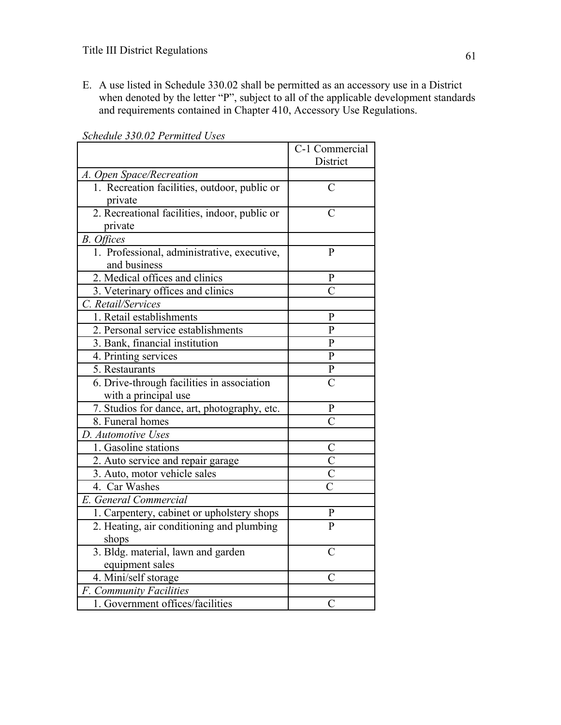E. A use listed in Schedule 330.02 shall be permitted as an accessory use in a District when denoted by the letter "P", subject to all of the applicable development standards and requirements contained in Chapter 410, Accessory Use Regulations.

|                                               | C-1 Commercial     |
|-----------------------------------------------|--------------------|
|                                               | District           |
| A. Open Space/Recreation                      |                    |
| 1. Recreation facilities, outdoor, public or  | $\overline{C}$     |
| private                                       |                    |
| 2. Recreational facilities, indoor, public or | $\overline{C}$     |
| private                                       |                    |
| <b>B.</b> Offices                             |                    |
| 1. Professional, administrative, executive,   | P                  |
| and business                                  |                    |
| 2. Medical offices and clinics                | P                  |
| 3. Veterinary offices and clinics             | $\overline{\rm C}$ |
| C. Retail/Services                            |                    |
| 1. Retail establishments                      | $\mathbf{P}$       |
| 2. Personal service establishments            | $\mathbf P$        |
| 3. Bank, financial institution                | $\overline{P}$     |
| 4. Printing services                          | $\frac{P}{P}$      |
| 5. Restaurants                                |                    |
| 6. Drive-through facilities in association    | $\overline{C}$     |
| with a principal use                          |                    |
| 7. Studios for dance, art, photography, etc.  | ${\bf P}$          |
| 8. Funeral homes                              | $\overline{\rm C}$ |
| D. Automotive Uses                            |                    |
| 1. Gasoline stations                          |                    |
| 2. Auto service and repair garage             | $rac{C}{C}$        |
| 3. Auto, motor vehicle sales                  |                    |
| 4. Car Washes                                 |                    |
| E. General Commercial                         |                    |
| 1. Carpentery, cabinet or upholstery shops    |                    |
| 2. Heating, air conditioning and plumbing     | $\frac{P}{P}$      |
| shops                                         |                    |
| 3. Bldg. material, lawn and garden            | $\overline{C}$     |
| equipment sales                               |                    |
| 4. Mini/self storage                          | $\overline{C}$     |
| F. Community Facilities                       |                    |
| 1. Government offices/facilities              | $\overline{C}$     |

*Schedule 330.02 Permitted Uses*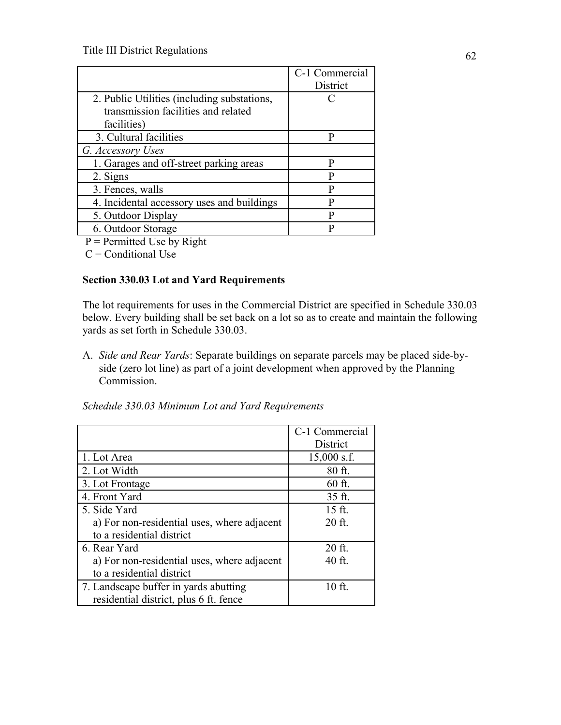|                                             | C-1 Commercial  |
|---------------------------------------------|-----------------|
|                                             | <b>District</b> |
| 2. Public Utilities (including substations, | ∩               |
| transmission facilities and related         |                 |
| facilities)                                 |                 |
| 3. Cultural facilities                      | D               |
| G. Accessory Uses                           |                 |
| 1. Garages and off-street parking areas     | р               |
| 2. Signs                                    | P               |
| 3. Fences, walls                            | P               |
| 4. Incidental accessory uses and buildings  | D               |
| 5. Outdoor Display                          | D               |
| 6. Outdoor Storage                          | D               |

 $P =$  Permitted Use by Right

 $C =$ Conditional Use

# **Section 330.03 Lot and Yard Requirements**

The lot requirements for uses in the Commercial District are specified in Schedule 330.03 below. Every building shall be set back on a lot so as to create and maintain the following yards as set forth in Schedule 330.03.

A. *Side and Rear Yards*: Separate buildings on separate parcels may be placed side-byside (zero lot line) as part of a joint development when approved by the Planning Commission.

|                                             | C-1 Commercial |
|---------------------------------------------|----------------|
|                                             | District       |
| 1. Lot Area                                 | $15,000$ s.f.  |
| 2. Lot Width                                | 80 ft.         |
| 3. Lot Frontage                             | 60 ft.         |
| 4. Front Yard                               | 35 ft.         |
| 5. Side Yard                                | 15 ft.         |
| a) For non-residential uses, where adjacent | 20 ft.         |
| to a residential district                   |                |
| 6. Rear Yard                                | 20 ft.         |
| a) For non-residential uses, where adjacent | 40 ft.         |
| to a residential district                   |                |
| 7. Landscape buffer in yards abutting       | 10 ft.         |
| residential district, plus 6 ft. fence      |                |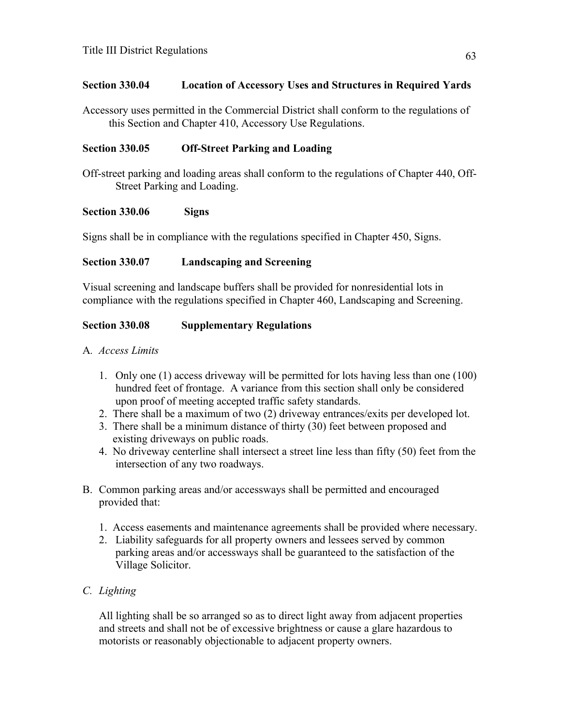## **Section 330.04 Location of Accessory Uses and Structures in Required Yards**

Accessory uses permitted in the Commercial District shall conform to the regulations of this Section and Chapter 410, Accessory Use Regulations.

### **Section 330.05 Off-Street Parking and Loading**

Off-street parking and loading areas shall conform to the regulations of Chapter 440, Off-Street Parking and Loading.

### **Section 330.06 Signs**

Signs shall be in compliance with the regulations specified in Chapter 450, Signs.

### **Section 330.07 Landscaping and Screening**

Visual screening and landscape buffers shall be provided for nonresidential lots in compliance with the regulations specified in Chapter 460, Landscaping and Screening.

### **Section 330.08 Supplementary Regulations**

- A*. Access Limits*
	- 1. Only one (1) access driveway will be permitted for lots having less than one (100) hundred feet of frontage. A variance from this section shall only be considered upon proof of meeting accepted traffic safety standards.
	- 2. There shall be a maximum of two (2) driveway entrances/exits per developed lot.
	- 3. There shall be a minimum distance of thirty (30) feet between proposed and existing driveways on public roads.
	- 4. No driveway centerline shall intersect a street line less than fifty (50) feet from the intersection of any two roadways.
- B. Common parking areas and/or accessways shall be permitted and encouraged provided that:
	- 1. Access easements and maintenance agreements shall be provided where necessary.
	- 2. Liability safeguards for all property owners and lessees served by common parking areas and/or accessways shall be guaranteed to the satisfaction of the Village Solicitor.

## *C. Lighting*

All lighting shall be so arranged so as to direct light away from adjacent properties and streets and shall not be of excessive brightness or cause a glare hazardous to motorists or reasonably objectionable to adjacent property owners.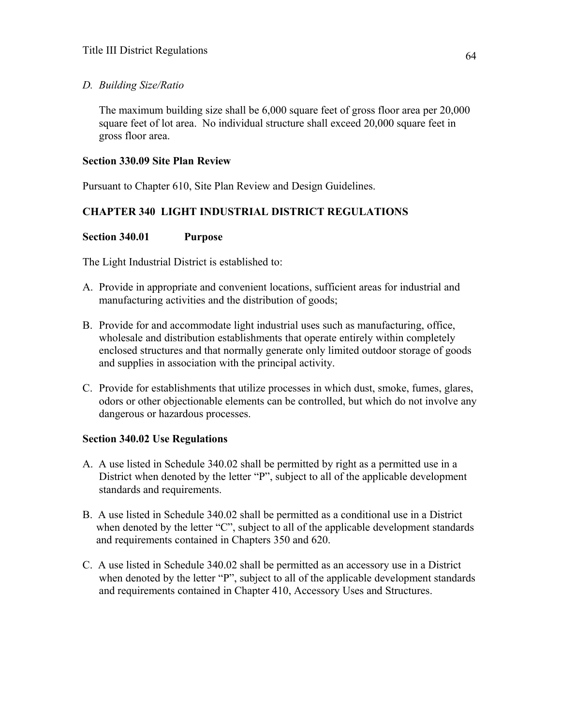### *D. Building Size/Ratio*

The maximum building size shall be 6,000 square feet of gross floor area per 20,000 square feet of lot area. No individual structure shall exceed 20,000 square feet in gross floor area.

## **Section 330.09 Site Plan Review**

Pursuant to Chapter 610, Site Plan Review and Design Guidelines.

# **CHAPTER 340 LIGHT INDUSTRIAL DISTRICT REGULATIONS**

## **Section 340.01 Purpose**

The Light Industrial District is established to:

- A. Provide in appropriate and convenient locations, sufficient areas for industrial and manufacturing activities and the distribution of goods;
- B. Provide for and accommodate light industrial uses such as manufacturing, office, wholesale and distribution establishments that operate entirely within completely enclosed structures and that normally generate only limited outdoor storage of goods and supplies in association with the principal activity.
- C. Provide for establishments that utilize processes in which dust, smoke, fumes, glares, odors or other objectionable elements can be controlled, but which do not involve any dangerous or hazardous processes.

## **Section 340.02 Use Regulations**

- A. A use listed in Schedule 340.02 shall be permitted by right as a permitted use in a District when denoted by the letter "P", subject to all of the applicable development standards and requirements.
- B. A use listed in Schedule 340.02 shall be permitted as a conditional use in a District when denoted by the letter "C", subject to all of the applicable development standards and requirements contained in Chapters 350 and 620.
- C. A use listed in Schedule 340.02 shall be permitted as an accessory use in a District when denoted by the letter "P", subject to all of the applicable development standards and requirements contained in Chapter 410, Accessory Uses and Structures.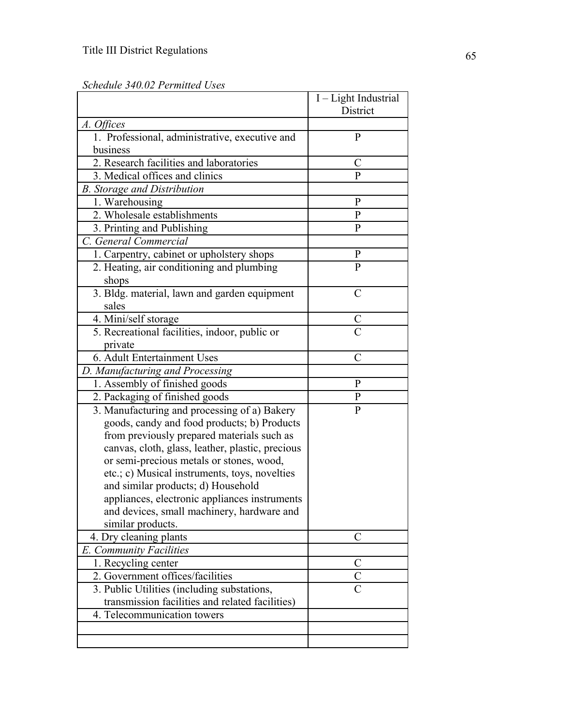|                                                  | I - Light Industrial |
|--------------------------------------------------|----------------------|
|                                                  | District             |
| A. Offices                                       |                      |
| 1. Professional, administrative, executive and   | $\mathbf{P}$         |
| business                                         |                      |
| 2. Research facilities and laboratories          | C                    |
| 3. Medical offices and clinics                   | $\overline{P}$       |
| <b>B.</b> Storage and Distribution               |                      |
| 1. Warehousing                                   | P                    |
| 2. Wholesale establishments                      | $\mathbf{P}$         |
| 3. Printing and Publishing                       | P                    |
| C. General Commercial                            |                      |
| 1. Carpentry, cabinet or upholstery shops        | $\mathbf{P}$         |
| 2. Heating, air conditioning and plumbing        | $\mathbf{P}$         |
| shops                                            |                      |
| 3. Bldg. material, lawn and garden equipment     | $\overline{C}$       |
| sales                                            |                      |
| 4. Mini/self storage                             | $\overline{C}$       |
| 5. Recreational facilities, indoor, public or    | $\overline{C}$       |
| private                                          |                      |
| 6. Adult Entertainment Uses                      | $\overline{C}$       |
| D. Manufacturing and Processing                  |                      |
| 1. Assembly of finished goods                    | P                    |
| 2. Packaging of finished goods                   | $\mathbf{P}$         |
| 3. Manufacturing and processing of a) Bakery     | $\overline{P}$       |
| goods, candy and food products; b) Products      |                      |
| from previously prepared materials such as       |                      |
| canvas, cloth, glass, leather, plastic, precious |                      |
| or semi-precious metals or stones, wood,         |                      |
| etc.; c) Musical instruments, toys, novelties    |                      |
| and similar products; d) Household               |                      |
| appliances, electronic appliances instruments    |                      |
| and devices, small machinery, hardware and       |                      |
| similar products.                                |                      |
| 4. Dry cleaning plants                           | C                    |
| E. Community Facilities                          |                      |
| 1. Recycling center                              | C                    |
| 2. Government offices/facilities                 | $\mathcal{C}$        |
| 3. Public Utilities (including substations,      |                      |
| transmission facilities and related facilities)  |                      |
| 4. Telecommunication towers                      |                      |
|                                                  |                      |
|                                                  |                      |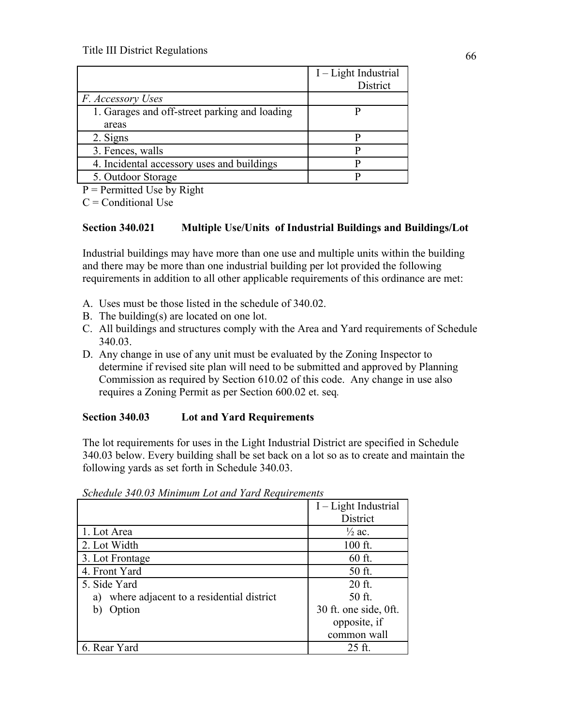|                                               | I – Light Industrial<br>District |
|-----------------------------------------------|----------------------------------|
| F. Accessory Uses                             |                                  |
| 1. Garages and off-street parking and loading |                                  |
| areas                                         |                                  |
| 2. Signs                                      |                                  |
| 3. Fences, walls                              |                                  |
| 4. Incidental accessory uses and buildings    |                                  |
| 5. Outdoor Storage                            |                                  |

 $P =$  Permitted Use by Right

 $C =$ Conditional Use

## **Section 340.021 Multiple Use/Units of Industrial Buildings and Buildings/Lot**

Industrial buildings may have more than one use and multiple units within the building and there may be more than one industrial building per lot provided the following requirements in addition to all other applicable requirements of this ordinance are met:

- A. Uses must be those listed in the schedule of 340.02.
- B. The building(s) are located on one lot.
- C. All buildings and structures comply with the Area and Yard requirements of Schedule 340.03.
- D. Any change in use of any unit must be evaluated by the Zoning Inspector to determine if revised site plan will need to be submitted and approved by Planning Commission as required by Section 610.02 of this code. Any change in use also requires a Zoning Permit as per Section 600.02 et. seq*.*

### **Section 340.03 Lot and Yard Requirements**

The lot requirements for uses in the Light Industrial District are specified in Schedule 340.03 below. Every building shall be set back on a lot so as to create and maintain the following yards as set forth in Schedule 340.03.

|                                                | I - Light Industrial  |
|------------------------------------------------|-----------------------|
|                                                | District              |
| 1. Lot Area                                    | $\frac{1}{2}$ ac.     |
| 2. Lot Width                                   | $100$ ft.             |
| 3. Lot Frontage                                | $60$ ft.              |
| 4. Front Yard                                  | 50 ft.                |
| 5. Side Yard                                   | 20 ft.                |
| where adjacent to a residential district<br>a) | 50 ft.                |
| Option<br>b)                                   | 30 ft. one side, 0ft. |
|                                                | opposite, if          |
|                                                | common wall           |
| 6. Rear Yard                                   | 25 ft.                |

*Schedule 340.03 Minimum Lot and Yard Requirements*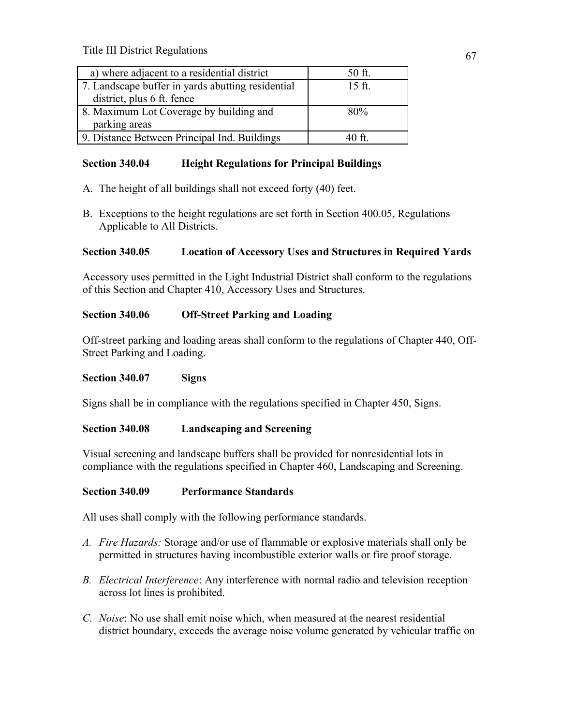| a) where adjacent to a residential district       | 50 ft.   |
|---------------------------------------------------|----------|
| 7. Landscape buffer in yards abutting residential | $15$ ft. |
| district, plus 6 ft. fence                        |          |
| 8. Maximum Lot Coverage by building and           | 80%      |
| parking areas                                     |          |
| 9. Distance Between Principal Ind. Buildings      | 40 ft    |

# **Section 340.04 Height Regulations for Principal Buildings**

- A. The height of all buildings shall not exceed forty (40) feet.
- B. Exceptions to the height regulations are set forth in Section 400.05, Regulations Applicable to All Districts.

## **Section 340.05 Location of Accessory Uses and Structures in Required Yards**

Accessory uses permitted in the Light Industrial District shall conform to the regulations of this Section and Chapter 410, Accessory Uses and Structures.

# **Section 340.06 Off-Street Parking and Loading**

Off-street parking and loading areas shall conform to the regulations of Chapter 440, Off-Street Parking and Loading.

## **Section 340.07 Signs**

Signs shall be in compliance with the regulations specified in Chapter 450, Signs.

# **Section 340.08 Landscaping and Screening**

Visual screening and landscape buffers shall be provided for nonresidential lots in compliance with the regulations specified in Chapter 460, Landscaping and Screening.

## **Section 340.09 Performance Standards**

All uses shall comply with the following performance standards.

- *A. Fire Hazards:* Storage and/or use of flammable or explosive materials shall only be permitted in structures having incombustible exterior walls or fire proof storage.
- *B. Electrical Interference*: Any interference with normal radio and television reception across lot lines is prohibited.
- *C. Noise*: No use shall emit noise which, when measured at the nearest residential district boundary, exceeds the average noise volume generated by vehicular traffic on